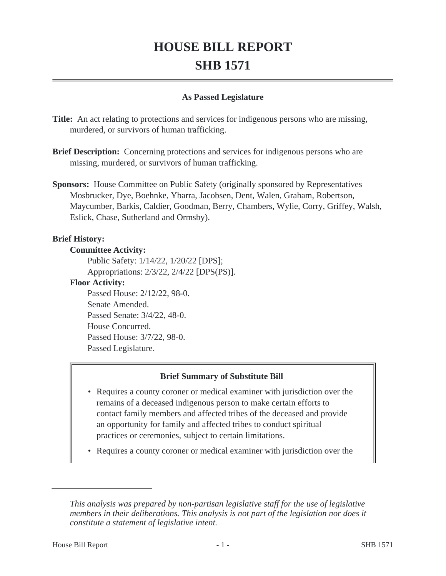# **HOUSE BILL REPORT SHB 1571**

## **As Passed Legislature**

**Title:** An act relating to protections and services for indigenous persons who are missing, murdered, or survivors of human trafficking.

- **Brief Description:** Concerning protections and services for indigenous persons who are missing, murdered, or survivors of human trafficking.
- **Sponsors:** House Committee on Public Safety (originally sponsored by Representatives Mosbrucker, Dye, Boehnke, Ybarra, Jacobsen, Dent, Walen, Graham, Robertson, Maycumber, Barkis, Caldier, Goodman, Berry, Chambers, Wylie, Corry, Griffey, Walsh, Eslick, Chase, Sutherland and Ormsby).

## **Brief History:**

#### **Committee Activity:**

Public Safety: 1/14/22, 1/20/22 [DPS]; Appropriations: 2/3/22, 2/4/22 [DPS(PS)].

#### **Floor Activity:**

Passed House: 2/12/22, 98-0. Senate Amended. Passed Senate: 3/4/22, 48-0. House Concurred. Passed House: 3/7/22, 98-0. Passed Legislature.

## **Brief Summary of Substitute Bill**

- Requires a county coroner or medical examiner with jurisdiction over the remains of a deceased indigenous person to make certain efforts to contact family members and affected tribes of the deceased and provide an opportunity for family and affected tribes to conduct spiritual practices or ceremonies, subject to certain limitations.
- Requires a county coroner or medical examiner with jurisdiction over the

*This analysis was prepared by non-partisan legislative staff for the use of legislative members in their deliberations. This analysis is not part of the legislation nor does it constitute a statement of legislative intent.*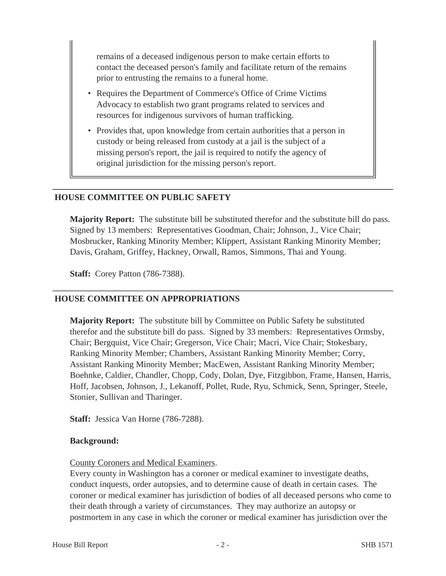remains of a deceased indigenous person to make certain efforts to contact the deceased person's family and facilitate return of the remains prior to entrusting the remains to a funeral home.

- Requires the Department of Commerce's Office of Crime Victims Advocacy to establish two grant programs related to services and resources for indigenous survivors of human trafficking.
- Provides that, upon knowledge from certain authorities that a person in custody or being released from custody at a jail is the subject of a missing person's report, the jail is required to notify the agency of original jurisdiction for the missing person's report.

#### **HOUSE COMMITTEE ON PUBLIC SAFETY**

**Majority Report:** The substitute bill be substituted therefor and the substitute bill do pass. Signed by 13 members: Representatives Goodman, Chair; Johnson, J., Vice Chair; Mosbrucker, Ranking Minority Member; Klippert, Assistant Ranking Minority Member; Davis, Graham, Griffey, Hackney, Orwall, Ramos, Simmons, Thai and Young.

**Staff:** Corey Patton (786-7388).

#### **HOUSE COMMITTEE ON APPROPRIATIONS**

**Majority Report:** The substitute bill by Committee on Public Safety be substituted therefor and the substitute bill do pass. Signed by 33 members: Representatives Ormsby, Chair; Bergquist, Vice Chair; Gregerson, Vice Chair; Macri, Vice Chair; Stokesbary, Ranking Minority Member; Chambers, Assistant Ranking Minority Member; Corry, Assistant Ranking Minority Member; MacEwen, Assistant Ranking Minority Member; Boehnke, Caldier, Chandler, Chopp, Cody, Dolan, Dye, Fitzgibbon, Frame, Hansen, Harris, Hoff, Jacobsen, Johnson, J., Lekanoff, Pollet, Rude, Ryu, Schmick, Senn, Springer, Steele, Stonier, Sullivan and Tharinger.

**Staff:** Jessica Van Horne (786-7288).

#### **Background:**

#### County Coroners and Medical Examiners.

Every county in Washington has a coroner or medical examiner to investigate deaths, conduct inquests, order autopsies, and to determine cause of death in certain cases. The coroner or medical examiner has jurisdiction of bodies of all deceased persons who come to their death through a variety of circumstances. They may authorize an autopsy or postmortem in any case in which the coroner or medical examiner has jurisdiction over the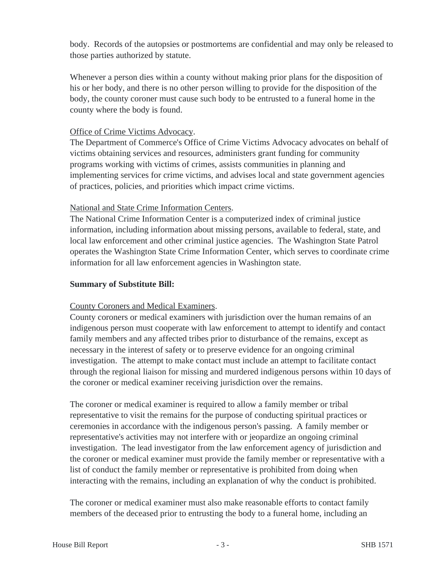body. Records of the autopsies or postmortems are confidential and may only be released to those parties authorized by statute.

Whenever a person dies within a county without making prior plans for the disposition of his or her body, and there is no other person willing to provide for the disposition of the body, the county coroner must cause such body to be entrusted to a funeral home in the county where the body is found.

## Office of Crime Victims Advocacy.

The Department of Commerce's Office of Crime Victims Advocacy advocates on behalf of victims obtaining services and resources, administers grant funding for community programs working with victims of crimes, assists communities in planning and implementing services for crime victims, and advises local and state government agencies of practices, policies, and priorities which impact crime victims.

## National and State Crime Information Centers.

The National Crime Information Center is a computerized index of criminal justice information, including information about missing persons, available to federal, state, and local law enforcement and other criminal justice agencies. The Washington State Patrol operates the Washington State Crime Information Center, which serves to coordinate crime information for all law enforcement agencies in Washington state.

## **Summary of Substitute Bill:**

## County Coroners and Medical Examiners.

County coroners or medical examiners with jurisdiction over the human remains of an indigenous person must cooperate with law enforcement to attempt to identify and contact family members and any affected tribes prior to disturbance of the remains, except as necessary in the interest of safety or to preserve evidence for an ongoing criminal investigation. The attempt to make contact must include an attempt to facilitate contact through the regional liaison for missing and murdered indigenous persons within 10 days of the coroner or medical examiner receiving jurisdiction over the remains.

The coroner or medical examiner is required to allow a family member or tribal representative to visit the remains for the purpose of conducting spiritual practices or ceremonies in accordance with the indigenous person's passing. A family member or representative's activities may not interfere with or jeopardize an ongoing criminal investigation. The lead investigator from the law enforcement agency of jurisdiction and the coroner or medical examiner must provide the family member or representative with a list of conduct the family member or representative is prohibited from doing when interacting with the remains, including an explanation of why the conduct is prohibited.

The coroner or medical examiner must also make reasonable efforts to contact family members of the deceased prior to entrusting the body to a funeral home, including an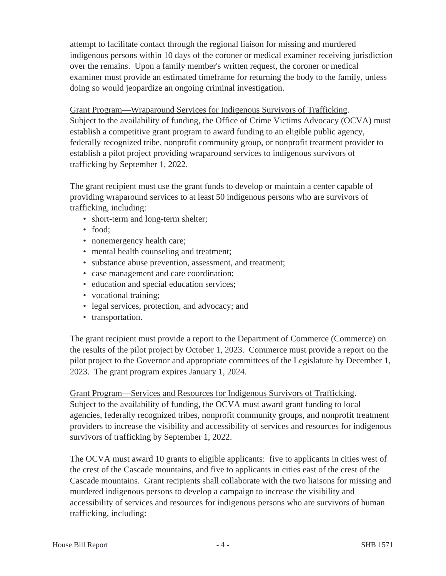attempt to facilitate contact through the regional liaison for missing and murdered indigenous persons within 10 days of the coroner or medical examiner receiving jurisdiction over the remains. Upon a family member's written request, the coroner or medical examiner must provide an estimated timeframe for returning the body to the family, unless doing so would jeopardize an ongoing criminal investigation.

Grant Program—Wraparound Services for Indigenous Survivors of Trafficking. Subject to the availability of funding, the Office of Crime Victims Advocacy (OCVA) must establish a competitive grant program to award funding to an eligible public agency, federally recognized tribe, nonprofit community group, or nonprofit treatment provider to establish a pilot project providing wraparound services to indigenous survivors of trafficking by September 1, 2022.

The grant recipient must use the grant funds to develop or maintain a center capable of providing wraparound services to at least 50 indigenous persons who are survivors of trafficking, including:

- short-term and long-term shelter;
- food:
- nonemergency health care;
- mental health counseling and treatment;
- substance abuse prevention, assessment, and treatment;
- case management and care coordination;
- education and special education services;
- vocational training;
- legal services, protection, and advocacy; and
- transportation.

The grant recipient must provide a report to the Department of Commerce (Commerce) on the results of the pilot project by October 1, 2023. Commerce must provide a report on the pilot project to the Governor and appropriate committees of the Legislature by December 1, 2023. The grant program expires January 1, 2024.

Grant Program—Services and Resources for Indigenous Survivors of Trafficking. Subject to the availability of funding, the OCVA must award grant funding to local agencies, federally recognized tribes, nonprofit community groups, and nonprofit treatment providers to increase the visibility and accessibility of services and resources for indigenous survivors of trafficking by September 1, 2022.

The OCVA must award 10 grants to eligible applicants: five to applicants in cities west of the crest of the Cascade mountains, and five to applicants in cities east of the crest of the Cascade mountains. Grant recipients shall collaborate with the two liaisons for missing and murdered indigenous persons to develop a campaign to increase the visibility and accessibility of services and resources for indigenous persons who are survivors of human trafficking, including: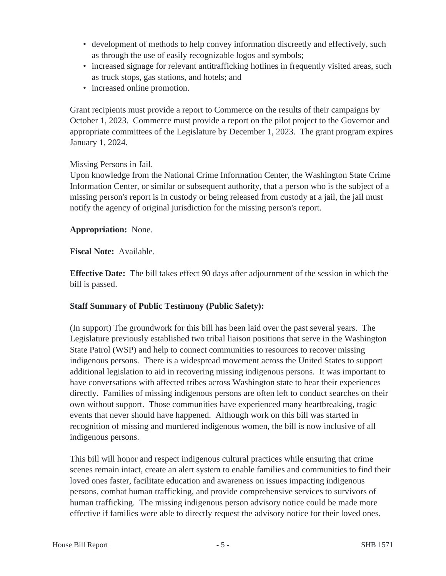- development of methods to help convey information discreetly and effectively, such as through the use of easily recognizable logos and symbols;
- increased signage for relevant antitrafficking hotlines in frequently visited areas, such as truck stops, gas stations, and hotels; and
- increased online promotion.

Grant recipients must provide a report to Commerce on the results of their campaigns by October 1, 2023. Commerce must provide a report on the pilot project to the Governor and appropriate committees of the Legislature by December 1, 2023. The grant program expires January 1, 2024.

## Missing Persons in Jail.

Upon knowledge from the National Crime Information Center, the Washington State Crime Information Center, or similar or subsequent authority, that a person who is the subject of a missing person's report is in custody or being released from custody at a jail, the jail must notify the agency of original jurisdiction for the missing person's report.

**Appropriation:** None.

**Fiscal Note:** Available.

**Effective Date:** The bill takes effect 90 days after adjournment of the session in which the bill is passed.

## **Staff Summary of Public Testimony (Public Safety):**

(In support) The groundwork for this bill has been laid over the past several years. The Legislature previously established two tribal liaison positions that serve in the Washington State Patrol (WSP) and help to connect communities to resources to recover missing indigenous persons. There is a widespread movement across the United States to support additional legislation to aid in recovering missing indigenous persons. It was important to have conversations with affected tribes across Washington state to hear their experiences directly. Families of missing indigenous persons are often left to conduct searches on their own without support. Those communities have experienced many heartbreaking, tragic events that never should have happened. Although work on this bill was started in recognition of missing and murdered indigenous women, the bill is now inclusive of all indigenous persons.

This bill will honor and respect indigenous cultural practices while ensuring that crime scenes remain intact, create an alert system to enable families and communities to find their loved ones faster, facilitate education and awareness on issues impacting indigenous persons, combat human trafficking, and provide comprehensive services to survivors of human trafficking. The missing indigenous person advisory notice could be made more effective if families were able to directly request the advisory notice for their loved ones.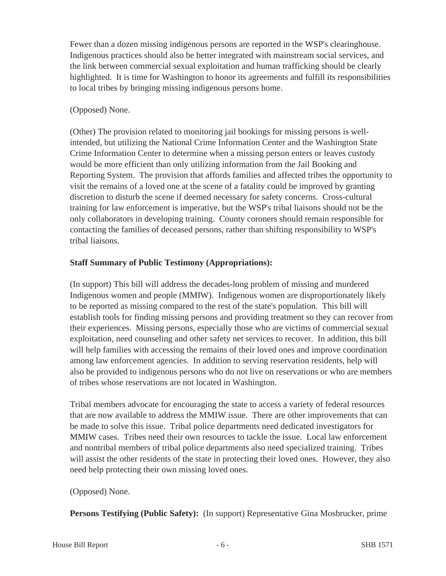Fewer than a dozen missing indigenous persons are reported in the WSP's clearinghouse. Indigenous practices should also be better integrated with mainstream social services, and the link between commercial sexual exploitation and human trafficking should be clearly highlighted. It is time for Washington to honor its agreements and fulfill its responsibilities to local tribes by bringing missing indigenous persons home.

## (Opposed) None.

(Other) The provision related to monitoring jail bookings for missing persons is wellintended, but utilizing the National Crime Information Center and the Washington State Crime Information Center to determine when a missing person enters or leaves custody would be more efficient than only utilizing information from the Jail Booking and Reporting System. The provision that affords families and affected tribes the opportunity to visit the remains of a loved one at the scene of a fatality could be improved by granting discretion to disturb the scene if deemed necessary for safety concerns. Cross-cultural training for law enforcement is imperative, but the WSP's tribal liaisons should not be the only collaborators in developing training. County coroners should remain responsible for contacting the families of deceased persons, rather than shifting responsibility to WSP's tribal liaisons.

## **Staff Summary of Public Testimony (Appropriations):**

(In support) This bill will address the decades-long problem of missing and murdered Indigenous women and people (MMIW). Indigenous women are disproportionately likely to be reported as missing compared to the rest of the state's population. This bill will establish tools for finding missing persons and providing treatment so they can recover from their experiences. Missing persons, especially those who are victims of commercial sexual exploitation, need counseling and other safety net services to recover. In addition, this bill will help families with accessing the remains of their loved ones and improve coordination among law enforcement agencies. In addition to serving reservation residents, help will also be provided to indigenous persons who do not live on reservations or who are members of tribes whose reservations are not located in Washington.

Tribal members advocate for encouraging the state to access a variety of federal resources that are now available to address the MMIW issue. There are other improvements that can be made to solve this issue. Tribal police departments need dedicated investigators for MMIW cases. Tribes need their own resources to tackle the issue. Local law enforcement and nontribal members of tribal police departments also need specialized training. Tribes will assist the other residents of the state in protecting their loved ones. However, they also need help protecting their own missing loved ones.

## (Opposed) None.

**Persons Testifying (Public Safety):** (In support) Representative Gina Mosbrucker, prime